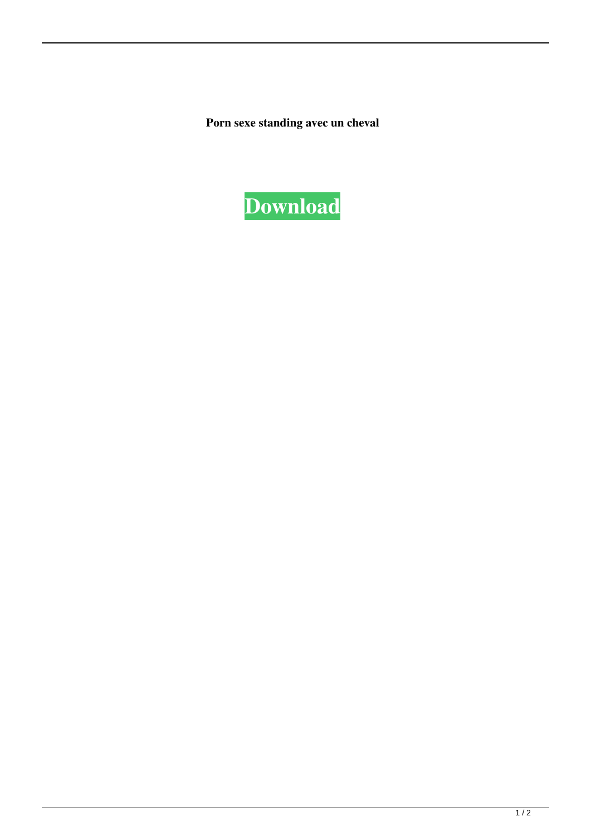**Porn sexe standing avec un cheval**